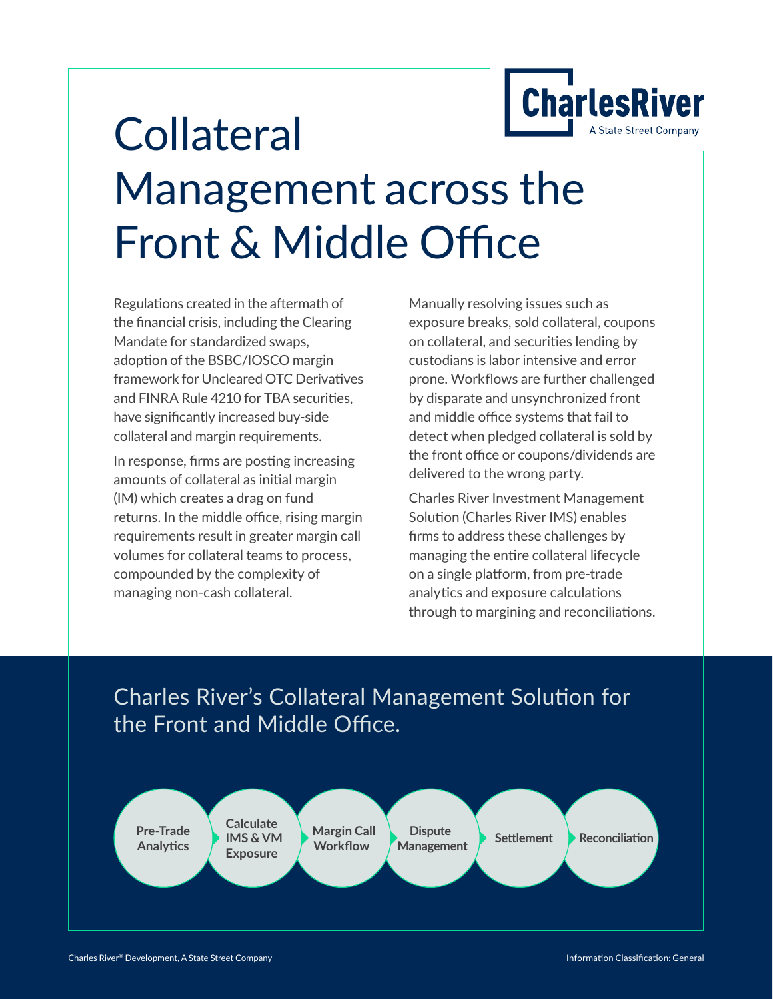

# Collateral Management across the Front & Middle Office

Regulations created in the aftermath of the financial crisis, including the Clearing Mandate for standardized swaps, adoption of the BSBC/IOSCO margin framework for Uncleared OTC Derivatives and FINRA Rule 4210 for TBA securities, have significantly increased buy-side collateral and margin requirements.

In response, firms are posting increasing amounts of collateral as initial margin (IM) which creates a drag on fund returns. In the middle office, rising margin requirements result in greater margin call volumes for collateral teams to process, compounded by the complexity of managing non-cash collateral.

Manually resolving issues such as exposure breaks, sold collateral, coupons on collateral, and securities lending by custodians is labor intensive and error prone. Workflows are further challenged by disparate and unsynchronized front and middle office systems that fail to detect when pledged collateral is sold by the front office or coupons/dividends are delivered to the wrong party.

Charles River Investment Management Solution (Charles River IMS) enables firms to address these challenges by managing the entire collateral lifecycle on a single platform, from pre-trade analytics and exposure calculations through to margining and reconciliations.

### Charles River's Collateral Management Solution for the Front and Middle Office.

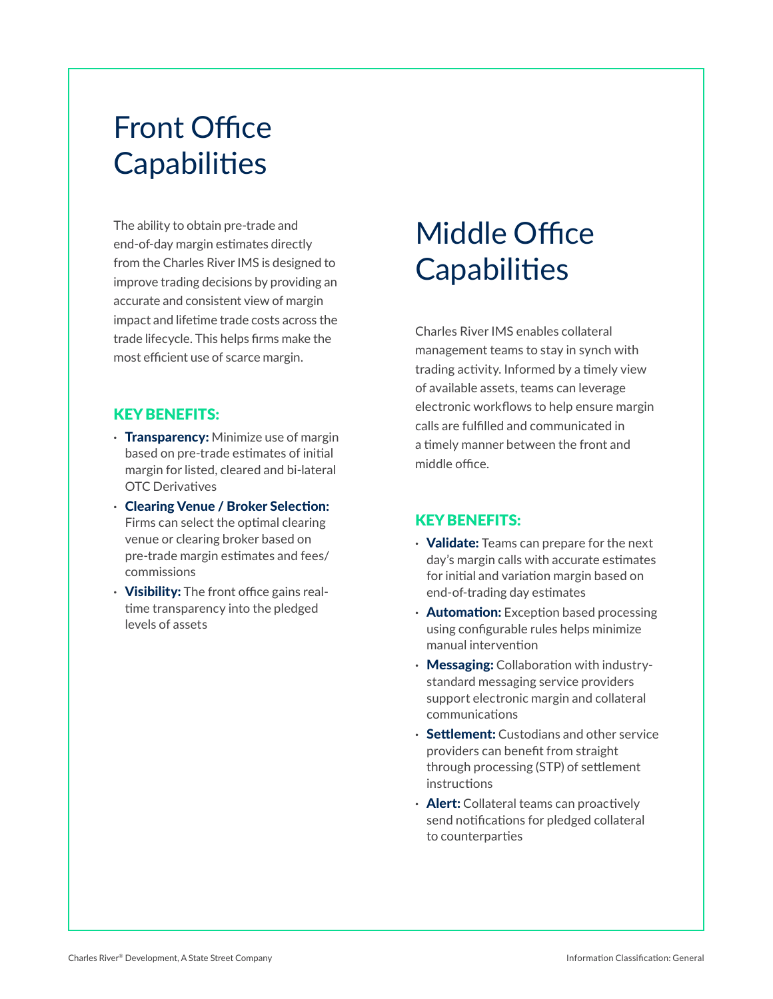## Front Office **Capabilities**

The ability to obtain pre-trade and end-of-day margin estimates directly from the Charles River IMS is designed to improve trading decisions by providing an accurate and consistent view of margin impact and lifetime trade costs across the trade lifecycle. This helps firms make the most efficient use of scarce margin.

#### KEY BENEFITS:

- **·** Transparency: Minimize use of margin based on pre-trade estimates of initial margin for listed, cleared and bi-lateral OTC Derivatives
- **·** Clearing Venue / Broker Selection: Firms can select the optimal clearing venue or clearing broker based on pre-trade margin estimates and fees/ commissions
- **·** Visibility: The front office gains realtime transparency into the pledged levels of assets

## Middle Office **Capabilities**

Charles River IMS enables collateral management teams to stay in synch with trading activity. Informed by a timely view of available assets, teams can leverage electronic workflows to help ensure margin calls are fulfilled and communicated in a timely manner between the front and middle office.

#### KEY BENEFITS:

- **·** Validate: Teams can prepare for the next day's margin calls with accurate estimates for initial and variation margin based on end-of-trading day estimates
- **·** Automation: Exception based processing using configurable rules helps minimize manual intervention
- **·** Messaging: Collaboration with industrystandard messaging service providers support electronic margin and collateral communications
- **·** Settlement: Custodians and other service providers can benefit from straight through processing (STP) of settlement instructions
- **·** Alert: Collateral teams can proactively send notifications for pledged collateral to counterparties